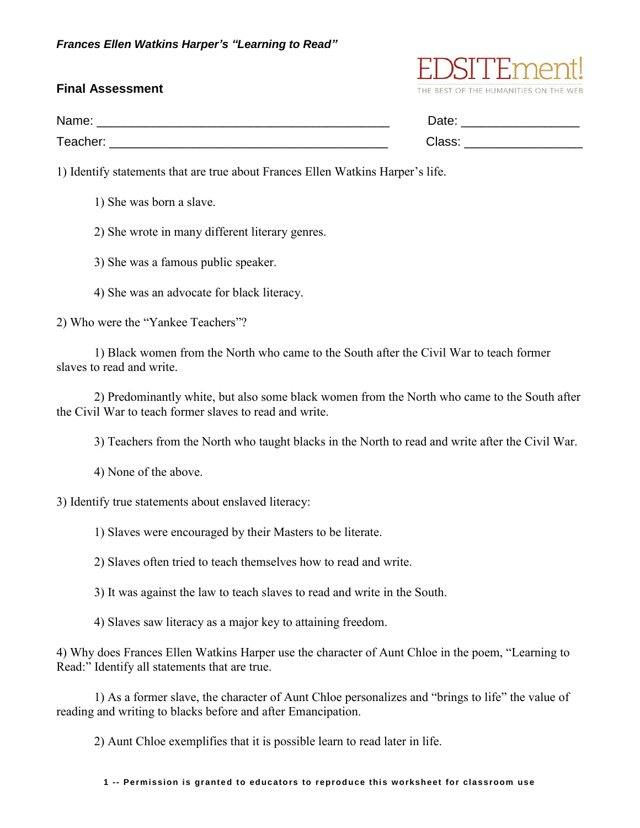## **Final Assessment**

| Name:    | Date:  |
|----------|--------|
| Teacher: | Class. |

THE BEST OF THE HUMANITIES ON THE WEB

1) Identify statements that are true about Frances Ellen Watkins Harper's life.

- 1) She was born a slave.
- 2) She wrote in many different literary genres.
- 3) She was a famous public speaker.
- 4) She was an advocate for black literacy.

2) Who were the "Yankee Teachers"?

1) Black women from the North who came to the South after the Civil War to teach former slaves to read and write.

2) Predominantly white, but also some black women from the North who came to the South after the Civil War to teach former slaves to read and write.

3) Teachers from the North who taught blacks in the North to read and write after the Civil War.

4) None of the above.

3) Identify true statements about enslaved literacy:

1) Slaves were encouraged by their Masters to be literate.

2) Slaves often tried to teach themselves how to read and write.

3) It was against the law to teach slaves to read and write in the South.

4) Slaves saw literacy as a major key to attaining freedom.

4) Why does Frances Ellen Watkins Harper use the character of Aunt Chloe in the poem, "Learning to Read:" Identify all statements that are true.

1) As a former slave, the character of Aunt Chloe personalizes and "brings to life" the value of reading and writing to blacks before and after Emancipation.

2) Aunt Chloe exemplifies that it is possible learn to read later in life.